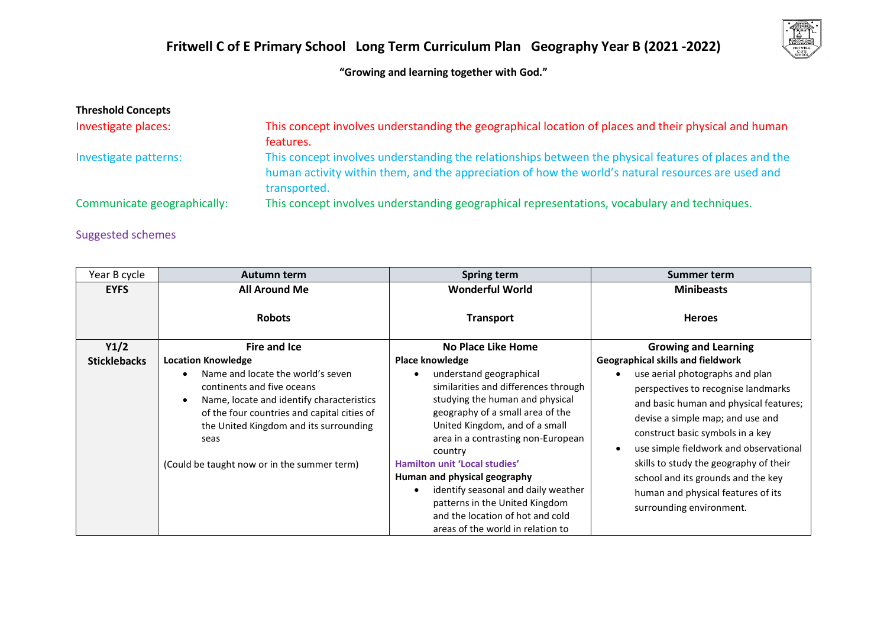

**"Growing and learning together with God."**

| <b>Threshold Concepts</b><br>Investigate places: | This concept involves understanding the geographical location of places and their physical and human                                                                                                                     |
|--------------------------------------------------|--------------------------------------------------------------------------------------------------------------------------------------------------------------------------------------------------------------------------|
| Investigate patterns:                            | features.<br>This concept involves understanding the relationships between the physical features of places and the<br>human activity within them, and the appreciation of how the world's natural resources are used and |
| Communicate geographically:                      | transported.<br>This concept involves understanding geographical representations, vocabulary and techniques.                                                                                                             |

## Suggested schemes

| Year B cycle        | <b>Autumn term</b>                                                                                                                                                                                                                                           | Spring term                                                                                                                                                                                                                                                                                                                                                                                                                                                            | Summer term                                                                                                                                                                                                                                                                                                                                                                          |
|---------------------|--------------------------------------------------------------------------------------------------------------------------------------------------------------------------------------------------------------------------------------------------------------|------------------------------------------------------------------------------------------------------------------------------------------------------------------------------------------------------------------------------------------------------------------------------------------------------------------------------------------------------------------------------------------------------------------------------------------------------------------------|--------------------------------------------------------------------------------------------------------------------------------------------------------------------------------------------------------------------------------------------------------------------------------------------------------------------------------------------------------------------------------------|
| <b>EYFS</b>         | <b>All Around Me</b>                                                                                                                                                                                                                                         | <b>Wonderful World</b>                                                                                                                                                                                                                                                                                                                                                                                                                                                 | <b>Minibeasts</b>                                                                                                                                                                                                                                                                                                                                                                    |
|                     | <b>Robots</b>                                                                                                                                                                                                                                                | <b>Transport</b>                                                                                                                                                                                                                                                                                                                                                                                                                                                       | <b>Heroes</b>                                                                                                                                                                                                                                                                                                                                                                        |
| Y1/2                | <b>Fire and Ice</b>                                                                                                                                                                                                                                          | No Place Like Home                                                                                                                                                                                                                                                                                                                                                                                                                                                     | <b>Growing and Learning</b>                                                                                                                                                                                                                                                                                                                                                          |
| <b>Sticklebacks</b> | <b>Location Knowledge</b>                                                                                                                                                                                                                                    | Place knowledge                                                                                                                                                                                                                                                                                                                                                                                                                                                        | Geographical skills and fieldwork                                                                                                                                                                                                                                                                                                                                                    |
|                     | Name and locate the world's seven<br>continents and five oceans<br>Name, locate and identify characteristics<br>of the four countries and capital cities of<br>the United Kingdom and its surrounding<br>seas<br>(Could be taught now or in the summer term) | understand geographical<br>$\bullet$<br>similarities and differences through<br>studying the human and physical<br>geography of a small area of the<br>United Kingdom, and of a small<br>area in a contrasting non-European<br>country<br>Hamilton unit 'Local studies'<br>Human and physical geography<br>identify seasonal and daily weather<br>$\bullet$<br>patterns in the United Kingdom<br>and the location of hot and cold<br>areas of the world in relation to | use aerial photographs and plan<br>perspectives to recognise landmarks<br>and basic human and physical features;<br>devise a simple map; and use and<br>construct basic symbols in a key<br>use simple fieldwork and observational<br>skills to study the geography of their<br>school and its grounds and the key<br>human and physical features of its<br>surrounding environment. |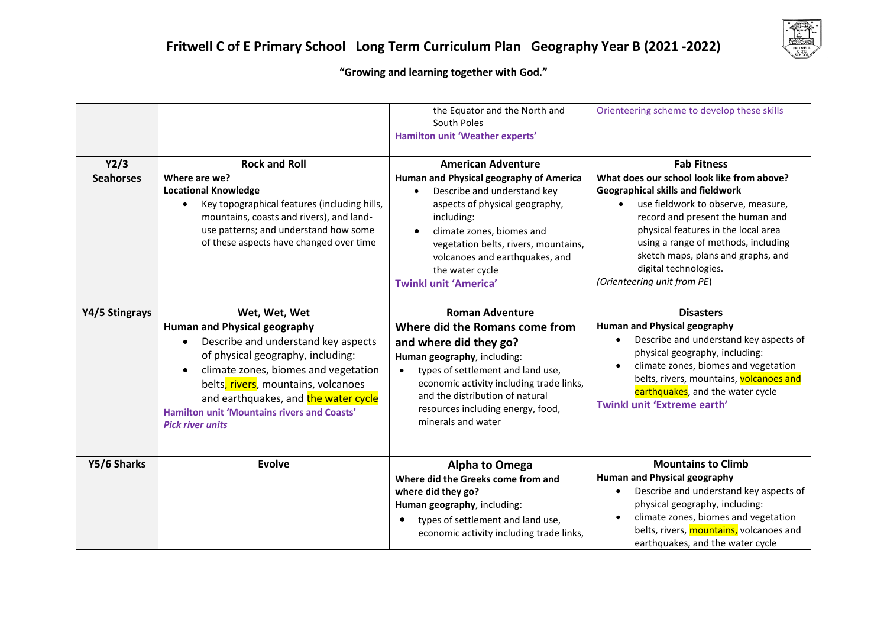

## **"Growing and learning together with God."**

| Y2/3<br><b>Seahorses</b> | <b>Rock and Roll</b><br>Where are we?<br><b>Locational Knowledge</b><br>Key topographical features (including hills,<br>mountains, coasts and rivers), and land-<br>use patterns; and understand how some<br>of these aspects have changed over time                                                                                     | the Equator and the North and<br>South Poles<br>Hamilton unit 'Weather experts'<br><b>American Adventure</b><br>Human and Physical geography of America<br>Describe and understand key<br>$\bullet$<br>aspects of physical geography,<br>including:<br>climate zones, biomes and<br>$\bullet$<br>vegetation belts, rivers, mountains,<br>volcanoes and earthquakes, and<br>the water cycle<br><b>Twinkl unit 'America'</b> | Orienteering scheme to develop these skills<br><b>Fab Fitness</b><br>What does our school look like from above?<br><b>Geographical skills and fieldwork</b><br>use fieldwork to observe, measure,<br>record and present the human and<br>physical features in the local area<br>using a range of methods, including<br>sketch maps, plans and graphs, and<br>digital technologies.<br>(Orienteering unit from PE) |
|--------------------------|------------------------------------------------------------------------------------------------------------------------------------------------------------------------------------------------------------------------------------------------------------------------------------------------------------------------------------------|----------------------------------------------------------------------------------------------------------------------------------------------------------------------------------------------------------------------------------------------------------------------------------------------------------------------------------------------------------------------------------------------------------------------------|-------------------------------------------------------------------------------------------------------------------------------------------------------------------------------------------------------------------------------------------------------------------------------------------------------------------------------------------------------------------------------------------------------------------|
| Y4/5 Stingrays           | Wet, Wet, Wet<br><b>Human and Physical geography</b><br>Describe and understand key aspects<br>of physical geography, including:<br>climate zones, biomes and vegetation<br>belts, rivers, mountains, volcanoes<br>and earthquakes, and the water cycle<br><b>Hamilton unit 'Mountains rivers and Coasts'</b><br><b>Pick river units</b> | <b>Roman Adventure</b><br>Where did the Romans come from<br>and where did they go?<br>Human geography, including:<br>types of settlement and land use,<br>economic activity including trade links,<br>and the distribution of natural<br>resources including energy, food,<br>minerals and water                                                                                                                           | <b>Disasters</b><br><b>Human and Physical geography</b><br>Describe and understand key aspects of<br>physical geography, including:<br>climate zones, biomes and vegetation<br>belts, rivers, mountains, volcanoes and<br>earthquakes, and the water cycle<br>Twinkl unit 'Extreme earth'                                                                                                                         |
| Y5/6 Sharks              | <b>Evolve</b>                                                                                                                                                                                                                                                                                                                            | <b>Alpha to Omega</b><br>Where did the Greeks come from and<br>where did they go?<br>Human geography, including:<br>types of settlement and land use,<br>economic activity including trade links,                                                                                                                                                                                                                          | <b>Mountains to Climb</b><br><b>Human and Physical geography</b><br>Describe and understand key aspects of<br>physical geography, including:<br>climate zones, biomes and vegetation<br>belts, rivers, mountains, volcanoes and<br>earthquakes, and the water cycle                                                                                                                                               |